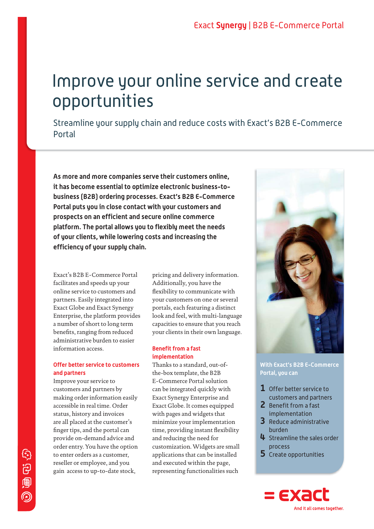# Improve your online service and create opportunities

Streamline your supply chain and reduce costs with Exact's B2B E-Commerce Portal

**As more and more companies serve their customers online, it has become essential to optimize electronic business-tobusiness (B2B) ordering processes. Exact's B2B E-Commerce Portal puts you in close contact with your customers and prospects on an efficient and secure online commerce platform. The portal allows you to flexibly meet the needs of your clients, while lowering costs and increasing the efficiency of your supply chain.** 

Exact's B2B E-Commerce Portal facilitates and speeds up your online service to customers and partners. Easily integrated into Exact Globe and Exact Synergy Enterprise, the platform provides a number of short to long term benefits, ranging from reduced administrative burden to easier information access.

# **Offer better service to customers and partners**

Improve your service to customers and partners by making order information easily accessible in real time. Order status, history and invoices are all placed at the customer's finger tips, and the portal can provide on-demand advice and order entry. You have the option to enter orders as a customer, reseller or employee, and you gain access to up-to-date stock,

pricing and delivery information. Additionally, you have the flexibility to communicate with your customers on one or several portals, each featuring a distinct look and feel, with multi-language capacities to ensure that you reach your clients in their own language.

## **Benefit from a fast implementation**

Thanks to a standard, out-ofthe-box template, the B2B E-Commerce Portal solution can be integrated quickly with Exact Synergy Enterprise and Exact Globe. It comes equipped with pages and widgets that minimize your implementation time, providing instant flexibility and reducing the need for customization. Widgets are small applications that can be installed and executed within the page, representing functionalities such



**With Exact's B2B E-Commerce Portal, you can**

- **1** Offer better service to customers and partners
- **2** Benefit from a fast
- implementation **3** Reduce administrative
- burden
- **4** Streamline the sales order process
- **5** Create opportunities